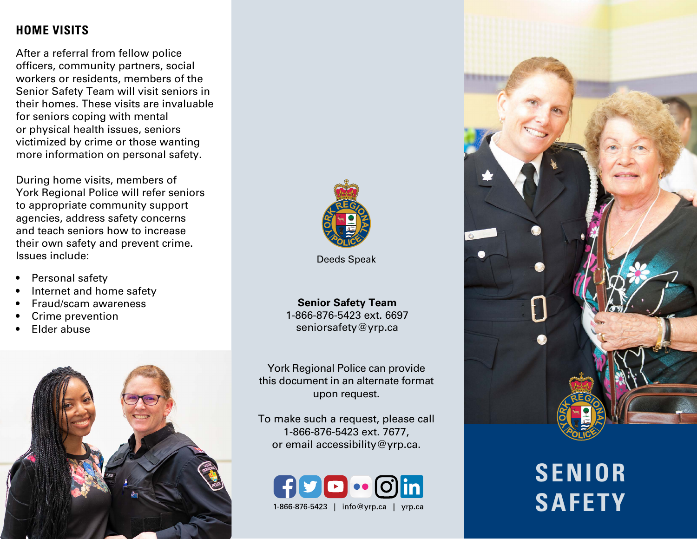## **HOME VISITS**

After a referral from fellow police officers, community partners, social workers or residents, members of the Senior Safety Team will visit seniors in their homes. These visits are invaluable for seniors coping with mental or physical health issues, seniors victimized by crime or those wanting more information on personal safety.

During home visits, members of York Regional Police will refer seniors to appropriate community support agencies, address safety concerns and teach seniors how to increase their own safety and prevent crime. Issues include:

- Personal safety
- Internet and home safety
- Fraud/scam awareness
- Crime prevention
- Elder abuse





Deeds Speak

**Senior Safety Team** 1-866-876-5423 ext. 6697 seniorsafety@yrp.ca

York Regional Police can provide this document in an alternate format upon request.

To make such a request, please call 1-866-876-5423 ext. 7677, or email accessibility@yrp.ca.





# **SENIOR SAFETY**